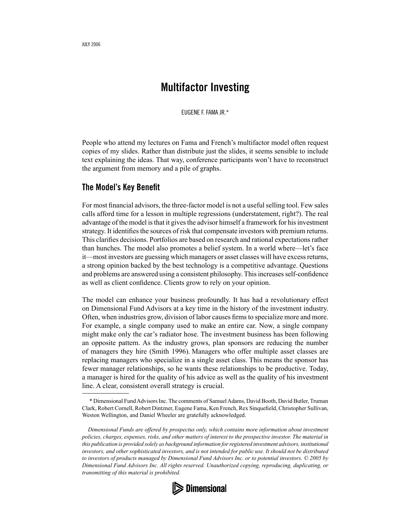## **Multifactor Investing**

EUGENE F. FAMA JR.\*

People who attend my lectures on Fama and French's multifactor model often request copies of my slides. Rather than distribute just the slides, it seems sensible to include text explaining the ideas. That way, conference participants won't have to reconstruct the argument from memory and a pile of graphs.

## **The Model's Key Benefit**

For most financial advisors, the three-factor model is not a useful selling tool. Few sales calls afford time for a lesson in multiple regressions (understatement, right?). The real advantage of the model is that it gives the advisor himself a framework for his investment strategy. It identifies the sources of risk that compensate investors with premium returns. This clarifies decisions. Portfolios are based on research and rational expectations rather than hunches. The model also promotes a belief system. In a world where—let's face it—most investors are guessing which managers or asset classes will have excess returns, a strong opinion backed by the best technology is a competitive advantage. Questions and problems are answered using a consistent philosophy. This increases self-confidence as well as client confidence. Clients grow to rely on your opinion.

The model can enhance your business profoundly. It has had a revolutionary effect on Dimensional Fund Advisors at a key time in the history of the investment industry. Often, when industries grow, division of labor causes firms to specialize more and more. For example, a single company used to make an entire car. Now, a single company might make only the car's radiator hose. The investment business has been following an opposite pattern. As the industry grows, plan sponsors are reducing the number of managers they hire (Smith 1996). Managers who offer multiple asset classes are replacing managers who specialize in a single asset class. This means the sponsor has fewer manager relationships, so he wants these relationships to be productive. Today, a manager is hired for the quality of his advice as well as the quality of his investment line. A clear, consistent overall strategy is crucial.

*Dimensional Funds are offered by prospectus only, which contains more information about investment policies, charges, expenses, risks, and other matters of interest to the prospective investor. The material in this publication is provided solely as background information for registered investment advisors, institutional investors, and other sophisticated investors, and is not intended for public use. It should not be distributed to investors of products managed by Dimensional Fund Advisors Inc. or to potential investors. © 2005 by Dimensional Fund Advisors Inc. All rights reserved. Unauthorized copying, reproducing, duplicating, or transmitting of this material is prohibited.*



 <sup>\*</sup> Dimensional Fund Advisors Inc. The comments of Samuel Adams, David Booth, David Butler, Truman Clark, Robert Cornell, Robert Dintzner, Eugene Fama, Ken French, Rex Sinquefield, Christopher Sullivan, Weston Wellington, and Daniel Wheeler are gratefully acknowledged.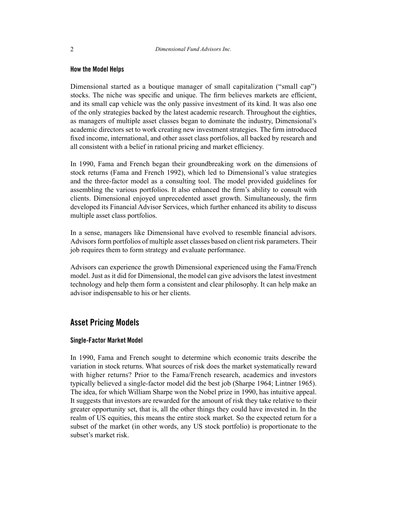#### **How the Model Helps**

Dimensional started as a boutique manager of small capitalization ("small cap") stocks. The niche was specific and unique. The firm believes markets are efficient, and its small cap vehicle was the only passive investment of its kind. It was also one of the only strategies backed by the latest academic research. Throughout the eighties, as managers of multiple asset classes began to dominate the industry, Dimensional's academic directors set to work creating new investment strategies. The firm introduced fixed income, international, and other asset class portfolios, all backed by research and all consistent with a belief in rational pricing and market efficiency.

In 1990, Fama and French began their groundbreaking work on the dimensions of stock returns (Fama and French 1992), which led to Dimensional's value strategies and the three-factor model as a consulting tool. The model provided guidelines for assembling the various portfolios. It also enhanced the firm's ability to consult with clients. Dimensional enjoyed unprecedented asset growth. Simultaneously, the firm developed its Financial Advisor Services, which further enhanced its ability to discuss multiple asset class portfolios.

In a sense, managers like Dimensional have evolved to resemble financial advisors. Advisors form portfolios of multiple asset classes based on client risk parameters. Their job requires them to form strategy and evaluate performance.

Advisors can experience the growth Dimensional experienced using the Fama/French model. Just as it did for Dimensional, the model can give advisors the latest investment technology and help them form a consistent and clear philosophy. It can help make an advisor indispensable to his or her clients.

## **Asset Pricing Models**

#### **Single-Factor Market Model**

In 1990, Fama and French sought to determine which economic traits describe the variation in stock returns. What sources of risk does the market systematically reward with higher returns? Prior to the Fama/French research, academics and investors typically believed a single-factor model did the best job (Sharpe 1964; Lintner 1965). The idea, for which William Sharpe won the Nobel prize in 1990, has intuitive appeal. It suggests that investors are rewarded for the amount of risk they take relative to their greater opportunity set, that is, all the other things they could have invested in. In the realm of US equities, this means the entire stock market. So the expected return for a subset of the market (in other words, any US stock portfolio) is proportionate to the subset's market risk.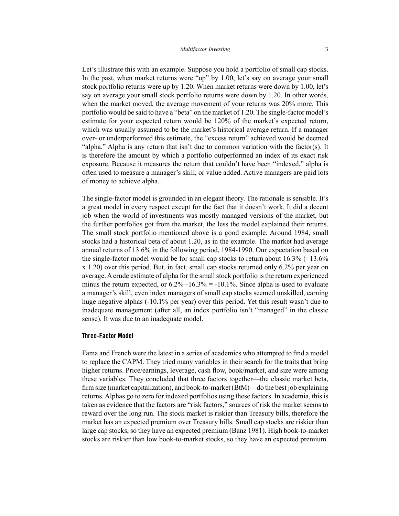Let's illustrate this with an example. Suppose you hold a portfolio of small cap stocks. In the past, when market returns were "up" by 1.00, let's say on average your small stock portfolio returns were up by 1.20. When market returns were down by 1.00, let's say on average your small stock portfolio returns were down by 1.20. In other words, when the market moved, the average movement of your returns was 20% more. This portfolio would be said to have a "beta" on the market of 1.20. The single-factor model's estimate for your expected return would be 120% of the market's expected return, which was usually assumed to be the market's historical average return. If a manager over- or underperformed this estimate, the "excess return" achieved would be deemed "alpha." Alpha is any return that isn't due to common variation with the factor(s). It is therefore the amount by which a portfolio outperformed an index of its exact risk exposure. Because it measures the return that couldn't have been "indexed," alpha is often used to measure a manager's skill, or value added. Active managers are paid lots of money to achieve alpha.

The single-factor model is grounded in an elegant theory. The rationale is sensible. It's a great model in every respect except for the fact that it doesn't work. It did a decent job when the world of investments was mostly managed versions of the market, but the further portfolios got from the market, the less the model explained their returns. The small stock portfolio mentioned above is a good example. Around 1984, small stocks had a historical beta of about 1.20, as in the example. The market had average annual returns of 13.6% in the following period, 1984-1990. Our expectation based on the single-factor model would be for small cap stocks to return about 16.3% (=13.6% x 1.20) over this period. But, in fact, small cap stocks returned only 6.2% per year on average. A crude estimate of alpha for the small stock portfolio is the return experienced minus the return expected, or  $6.2\% - 16.3\% = -10.1\%$ . Since alpha is used to evaluate a manager's skill, even index managers of small cap stocks seemed unskilled, earning huge negative alphas (-10.1% per year) over this period. Yet this result wasn't due to inadequate management (after all, an index portfolio isn't "managed" in the classic sense). It was due to an inadequate model.

#### **Three-Factor Model**

Fama and French were the latest in a series of academics who attempted to find a model to replace the CAPM. They tried many variables in their search for the traits that bring higher returns. Price/earnings, leverage, cash flow, book/market, and size were among these variables. They concluded that three factors together—the classic market beta, firm size (market capitalization), and book-to-market (BtM)—do the best job explaining returns. Alphas go to zero for indexed portfolios using these factors. In academia, this is taken as evidence that the factors are "risk factors," sources of risk the market seems to reward over the long run. The stock market is riskier than Treasury bills, therefore the market has an expected premium over Treasury bills. Small cap stocks are riskier than large cap stocks, so they have an expected premium (Banz 1981). High book-to-market stocks are riskier than low book-to-market stocks, so they have an expected premium.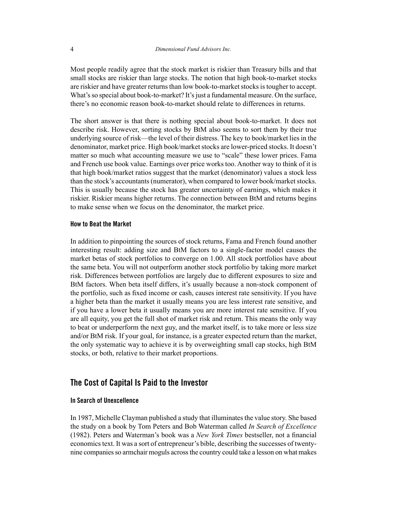Most people readily agree that the stock market is riskier than Treasury bills and that small stocks are riskier than large stocks. The notion that high book-to-market stocks are riskier and have greater returns than low book-to-market stocks is tougher to accept. What's so special about book-to-market? It's just a fundamental measure. On the surface, there's no economic reason book-to-market should relate to differences in returns.

The short answer is that there is nothing special about book-to-market. It does not describe risk. However, sorting stocks by BtM also seems to sort them by their true underlying source of risk—the level of their distress. The key to book/market lies in the denominator, market price. High book/market stocks are lower-priced stocks. It doesn't matter so much what accounting measure we use to "scale" these lower prices. Fama and French use book value. Earnings over price works too. Another way to think of it is that high book/market ratios suggest that the market (denominator) values a stock less than the stock's accountants (numerator), when compared to lower book/market stocks. This is usually because the stock has greater uncertainty of earnings, which makes it riskier. Riskier means higher returns. The connection between BtM and returns begins to make sense when we focus on the denominator, the market price.

#### **How to Beat the Market**

In addition to pinpointing the sources of stock returns, Fama and French found another interesting result: adding size and BtM factors to a single-factor model causes the market betas of stock portfolios to converge on 1.00. All stock portfolios have about the same beta. You will not outperform another stock portfolio by taking more market risk. Differences between portfolios are largely due to different exposures to size and BtM factors. When beta itself differs, it's usually because a non-stock component of the portfolio, such as fixed income or cash, causes interest rate sensitivity. If you have a higher beta than the market it usually means you are less interest rate sensitive, and if you have a lower beta it usually means you are more interest rate sensitive. If you are all equity, you get the full shot of market risk and return. This means the only way to beat or underperform the next guy, and the market itself, is to take more or less size and/or BtM risk. If your goal, for instance, is a greater expected return than the market, the only systematic way to achieve it is by overweighting small cap stocks, high BtM stocks, or both, relative to their market proportions.

## **The Cost of Capital Is Paid to the Investor**

#### **In Search of Unexcellence**

In 1987, Michelle Clayman published a study that illuminates the value story. She based the study on a book by Tom Peters and Bob Waterman called *In Search of Excellence* (1982). Peters and Waterman's book was a *New York Times* bestseller, not a financial economics text. It was a sort of entrepreneur's bible, describing the successes of twentynine companies so armchair moguls across the country could take a lesson on what makes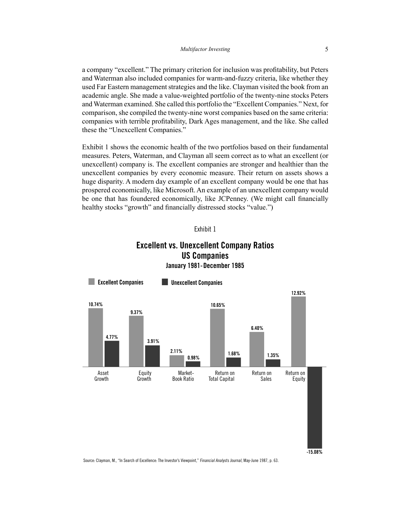a company "excellent." The primary criterion for inclusion was profitability, but Peters and Waterman also included companies for warm-and-fuzzy criteria, like whether they used Far Eastern management strategies and the like. Clayman visited the book from an academic angle. She made a value-weighted portfolio of the twenty-nine stocks Peters and Waterman examined. She called this portfolio the "Excellent Companies." Next, for comparison, she compiled the twenty-nine worst companies based on the same criteria: companies with terrible profitability, Dark Ages management, and the like. She called these the "Unexcellent Companies."

Exhibit 1 shows the economic health of the two portfolios based on their fundamental measures. Peters, Waterman, and Clayman all seem correct as to what an excellent (or unexcellent) company is. The excellent companies are stronger and healthier than the unexcellent companies by every economic measure. Their return on assets shows a huge disparity. A modern day example of an excellent company would be one that has prospered economically, like Microsoft. An example of an unexcellent company would be one that has foundered economically, like JCPenney. (We might call financially healthy stocks "growth" and financially distressed stocks "value.")



## **Excellent vs. Unexcellent Company Ratios US Companies** January 1981-December 1985



Source: Clayman, M., "In Search of Excellence: The Investor's Viewpoint," Financial Analysts Journal, May-June 1987, p. 63.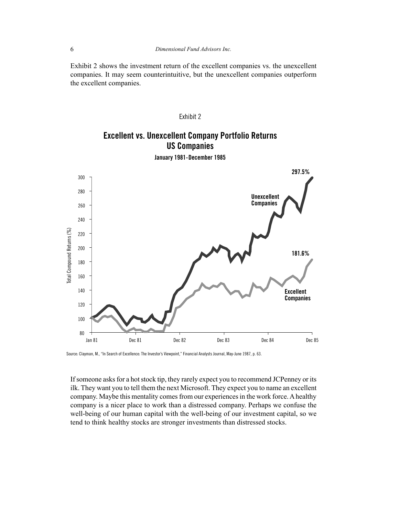Exhibit 2 shows the investment return of the excellent companies vs. the unexcellent companies. It may seem counterintuitive, but the unexcellent companies outperform the excellent companies.

#### Exhibit 2

## **Excellent vs. Unexcellent Company Portfolio Returns US Companies**



January 1981-December 1985

Source: Clayman, M., "In Search of Excellence: The Investor's Viewpoint," Financial Analysts Journal, May-June 1987, p. 63.

If someone asks for a hot stock tip, they rarely expect you to recommend JCPenney or its ilk. They want you to tell them the next Microsoft. They expect you to name an excellent company. Maybe this mentality comes from our experiences in the work force. A healthy company is a nicer place to work than a distressed company. Perhaps we confuse the well-being of our human capital with the well-being of our investment capital, so we tend to think healthy stocks are stronger investments than distressed stocks.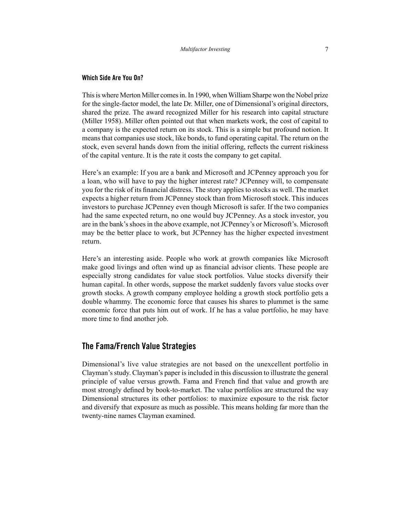#### **Which Side Are You On?**

This is where Merton Miller comes in. In 1990, when William Sharpe won the Nobel prize for the single-factor model, the late Dr. Miller, one of Dimensional's original directors, shared the prize. The award recognized Miller for his research into capital structure (Miller 1958). Miller often pointed out that when markets work, the cost of capital to a company is the expected return on its stock. This is a simple but profound notion. It means that companies use stock, like bonds, to fund operating capital. The return on the stock, even several hands down from the initial offering, reflects the current riskiness of the capital venture. It is the rate it costs the company to get capital.

Here's an example: If you are a bank and Microsoft and JCPenney approach you for a loan, who will have to pay the higher interest rate? JCPenney will, to compensate you for the risk of its financial distress. The story applies to stocks as well. The market expects a higher return from JCPenney stock than from Microsoft stock. This induces investors to purchase JCPenney even though Microsoft is safer. If the two companies had the same expected return, no one would buy JCPenney. As a stock investor, you are in the bank's shoes in the above example, not JCPenney's or Microsoft's. Microsoft may be the better place to work, but JCPenney has the higher expected investment return.

Here's an interesting aside. People who work at growth companies like Microsoft make good livings and often wind up as financial advisor clients. These people are especially strong candidates for value stock portfolios. Value stocks diversify their human capital. In other words, suppose the market suddenly favors value stocks over growth stocks. A growth company employee holding a growth stock portfolio gets a double whammy. The economic force that causes his shares to plummet is the same economic force that puts him out of work. If he has a value portfolio, he may have more time to find another job.

## **The Fama/French Value Strategies**

Dimensional's live value strategies are not based on the unexcellent portfolio in Clayman's study. Clayman's paper is included in this discussion to illustrate the general principle of value versus growth. Fama and French find that value and growth are most strongly defined by book-to-market. The value portfolios are structured the way Dimensional structures its other portfolios: to maximize exposure to the risk factor and diversify that exposure as much as possible. This means holding far more than the twenty-nine names Clayman examined.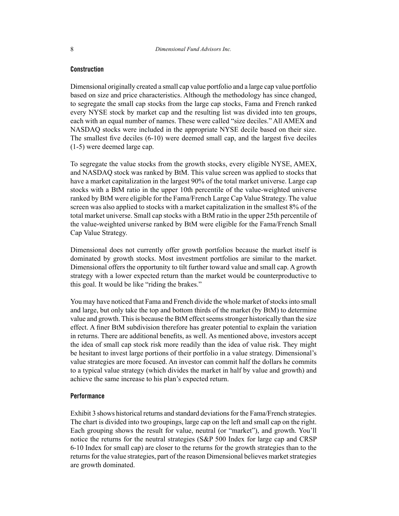#### **Construction**

Dimensional originally created a small cap value portfolio and a large cap value portfolio based on size and price characteristics. Although the methodology has since changed, to segregate the small cap stocks from the large cap stocks, Fama and French ranked every NYSE stock by market cap and the resulting list was divided into ten groups, each with an equal number of names. These were called "size deciles." All AMEX and NASDAQ stocks were included in the appropriate NYSE decile based on their size. The smallest five deciles (6-10) were deemed small cap, and the largest five deciles (1-5) were deemed large cap.

To segregate the value stocks from the growth stocks, every eligible NYSE, AMEX, and NASDAQ stock was ranked by BtM. This value screen was applied to stocks that have a market capitalization in the largest 90% of the total market universe. Large cap stocks with a BtM ratio in the upper 10th percentile of the value-weighted universe ranked by BtM were eligible for the Fama/French Large Cap Value Strategy. The value screen was also applied to stocks with a market capitalization in the smallest 8% of the total market universe. Small cap stocks with a BtM ratio in the upper 25th percentile of the value-weighted universe ranked by BtM were eligible for the Fama/French Small Cap Value Strategy.

Dimensional does not currently offer growth portfolios because the market itself is dominated by growth stocks. Most investment portfolios are similar to the market. Dimensional offers the opportunity to tilt further toward value and small cap. A growth strategy with a lower expected return than the market would be counterproductive to this goal. It would be like "riding the brakes."

You may have noticed that Fama and French divide the whole market of stocks into small and large, but only take the top and bottom thirds of the market (by BtM) to determine value and growth. This is because the BtM effect seems stronger historically than the size effect. A finer BtM subdivision therefore has greater potential to explain the variation in returns. There are additional benefits, as well. As mentioned above, investors accept the idea of small cap stock risk more readily than the idea of value risk. They might be hesitant to invest large portions of their portfolio in a value strategy. Dimensional's value strategies are more focused. An investor can commit half the dollars he commits to a typical value strategy (which divides the market in half by value and growth) and achieve the same increase to his plan's expected return.

#### **Performance**

Exhibit 3 shows historical returns and standard deviations for the Fama/French strategies. The chart is divided into two groupings, large cap on the left and small cap on the right. Each grouping shows the result for value, neutral (or "market"), and growth. You'll notice the returns for the neutral strategies (S&P 500 Index for large cap and CRSP 6-10 Index for small cap) are closer to the returns for the growth strategies than to the returns for the value strategies, part of the reason Dimensional believes market strategies are growth dominated.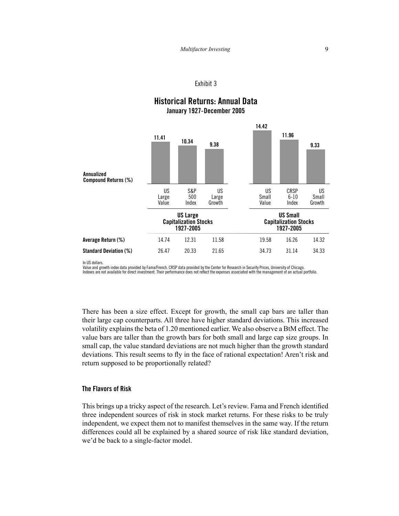

## **Historical Returns: Annual Data** January 1927-December 2005

In US dollars.

Value and growth index data provided by Fama/French. CRSP data provided by the Center for Research in Security Prices, University of Chicago.<br>Indexes are not available for direct investment. Their performance does not refl

There has been a size effect. Except for growth, the small cap bars are taller than their large cap counterparts. All three have higher standard deviations. This increased volatility explains the beta of 1.20 mentioned earlier. We also observe a BtM effect. The value bars are taller than the growth bars for both small and large cap size groups. In small cap, the value standard deviations are not much higher than the growth standard deviations. This result seems to fly in the face of rational expectation! Aren't risk and return supposed to be proportionally related?

#### The Flavors of Risk

This brings up a tricky aspect of the research. Let's review. Fama and French identified three independent sources of risk in stock market returns. For these risks to be truly independent, we expect them not to manifest themselves in the same way. If the return differences could all be explained by a shared source of risk like standard deviation, we'd be back to a single-factor model.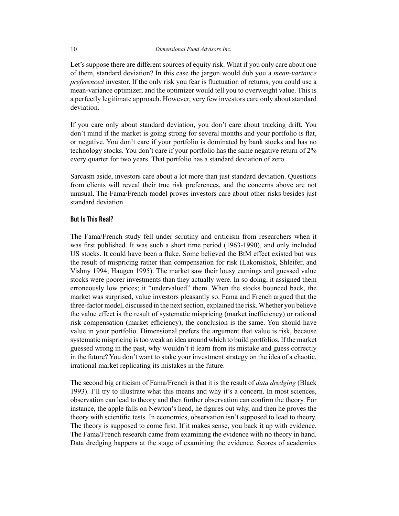Let's suppose there are different sources of equity risk. What if you only care about one of them, standard deviation? In this case the jargon would dub you a *mean-variance preferenced* investor. If the only risk you fear is fluctuation of returns, you could use a mean-variance optimizer, and the optimizer would tell you to overweight value. This is a perfectly legitimate approach. However, very few investors care only about standard deviation.

If you care only about standard deviation, you don't care about tracking drift. You don't mind if the market is going strong for several months and your portfolio is flat, or negative. You don't care if your portfolio is dominated by bank stocks and has no technology stocks. You don't care if your portfolio has the same negative return of 2% every quarter for two years. That portfolio has a standard deviation of zero.

Sarcasm aside, investors care about a lot more than just standard deviation. Questions from clients will reveal their true risk preferences, and the concerns above are not unusual. The Fama/French model proves investors care about other risks besides just standard deviation.

#### **But Is This Real?**

The Fama/French study fell under scrutiny and criticism from researchers when it was first published. It was such a short time period (1963-1990), and only included US stocks. It could have been a fluke. Some believed the BtM effect existed but was the result of mispricing rather than compensation for risk (Lakonishok, Shleifer, and Vishny 1994; Haugen 1995). The market saw their lousy earnings and guessed value stocks were poorer investments than they actually were. In so doing, it assigned them erroneously low prices; it "undervalued" them. When the stocks bounced back, the market was surprised, value investors pleasantly so. Fama and French argued that the three-factor model, discussed in the next section, explained the risk. Whether you believe the value effect is the result of systematic mispricing (market inefficiency) or rational risk compensation (market efficiency), the conclusion is the same. You should have value in your portfolio. Dimensional prefers the argument that value is risk, because systematic mispricing is too weak an idea around which to build portfolios. If the market guessed wrong in the past, why wouldn't it learn from its mistake and guess correctly in the future? You don't want to stake your investment strategy on the idea of a chaotic, irrational market replicating its mistakes in the future.

The second big criticism of Fama/French is that it is the result of *data dredging* (Black 1993). I'll try to illustrate what this means and why it's a concern. In most sciences, observation can lead to theory and then further observation can confirm the theory. For instance, the apple falls on Newton's head, he figures out why, and then he proves the theory with scientific tests. In economics, observation isn't supposed to lead to theory. The theory is supposed to come first. If it makes sense, you back it up with evidence. The Fama/French research came from examining the evidence with no theory in hand. Data dredging happens at the stage of examining the evidence. Scores of academics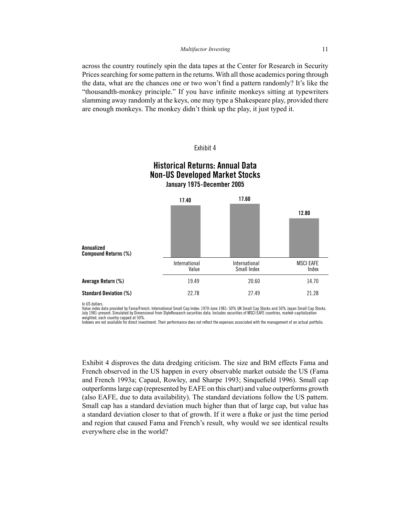across the country routinely spin the data tapes at the Center for Research in Security Prices searching for some pattern in the returns. With all those academics poring through the data, what are the chances one or two won't find a pattern randomly? It's like the "thousandth-monkey principle." If you have infinite monkeys sitting at typewriters slamming away randomly at the keys, one may type a Shakespeare play, provided there are enough monkeys. The monkey didn't think up the play, it just typed it.

#### Exhibit 4

Historical Returns: Annual Data

| <b>Non-US Developed Market Stocks</b><br>January 1975-December 2005 |                        |                              |                           |  |  |  |  |  |
|---------------------------------------------------------------------|------------------------|------------------------------|---------------------------|--|--|--|--|--|
| Annualized<br><b>Compound Returns (%)</b>                           | 17.40                  | 17.60                        | 12.80                     |  |  |  |  |  |
|                                                                     | International<br>Value | International<br>Small Index | <b>MSCI EAFE</b><br>Index |  |  |  |  |  |
| Average Return (%)                                                  | 19.49                  | 20.60                        | 14.70                     |  |  |  |  |  |
| <b>Standard Deviation (%)</b>                                       | 22.78                  | 27.49                        | 21.28                     |  |  |  |  |  |

In IIR dollare

Value index data provided by Fama/French. International Small Cap Index: 1970-June 1981: 50% UK Small Cap Stocks and 50% Japan Small Cap Stocks. July 1981-present: Simulated by Dimensional from StyleResearch securities data. Includes securities of MSCI EAFE countries, market-capitalization weighted, each country capped at 50%.

Indexes are not available for direct investment. Their performance does not reflect the expenses associated with the management of an actual portfolio.

Exhibit 4 disproves the data dredging criticism. The size and BtM effects Fama and French observed in the US happen in every observable market outside the US (Fama and French 1993a; Capaul, Rowley, and Sharpe 1993; Singuefield 1996). Small cap outperforms large cap (represented by EAFE on this chart) and value outperforms growth (also EAFE, due to data availability). The standard deviations follow the US pattern. Small cap has a standard deviation much higher than that of large cap, but value has a standard deviation closer to that of growth. If it were a fluke or just the time period and region that caused Fama and French's result, why would we see identical results everywhere else in the world?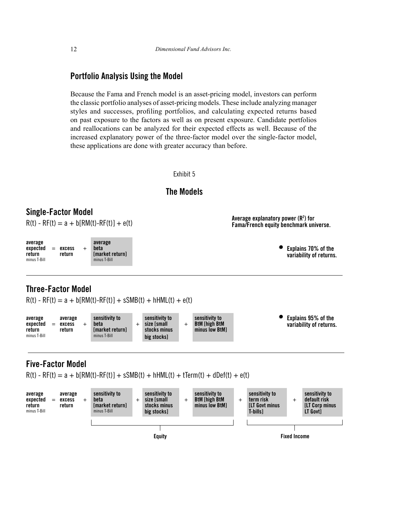## **Portfolio Analysis Using the Model**

Because the Fama and French model is an asset-pricing model, investors can perform the classic portfolio analyses of asset-pricing models. These include analyzing manager styles and successes, profiling portfolios, and calculating expected returns based on past exposure to the factors as well as on present exposure. Candidate portfolios and reallocations can be analyzed for their expected effects as well. Because of the increased explanatory power of the three-factor model over the single-factor model, these applications are done with greater accuracy than before.





**Equity Fixed Income**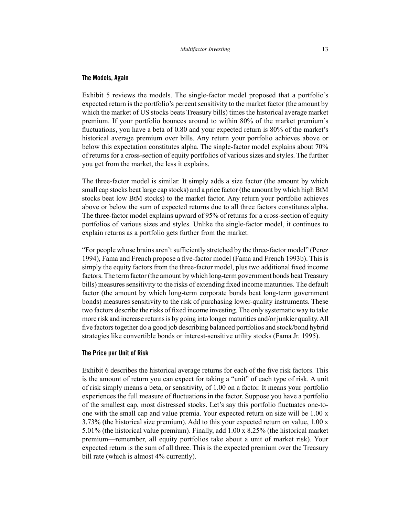#### **The Models, Again**

Exhibit 5 reviews the models. The single-factor model proposed that a portfolio's expected return is the portfolio's percent sensitivity to the market factor (the amount by which the market of US stocks beats Treasury bills) times the historical average market premium. If your portfolio bounces around to within 80% of the market premium's fluctuations, you have a beta of 0.80 and your expected return is 80% of the market's historical average premium over bills. Any return your portfolio achieves above or below this expectation constitutes alpha. The single-factor model explains about 70% of returns for a cross-section of equity portfolios of various sizes and styles. The further you get from the market, the less it explains.

The three-factor model is similar. It simply adds a size factor (the amount by which small cap stocks beat large cap stocks) and a price factor (the amount by which high BtM stocks beat low BtM stocks) to the market factor. Any return your portfolio achieves above or below the sum of expected returns due to all three factors constitutes alpha. The three-factor model explains upward of 95% of returns for a cross-section of equity portfolios of various sizes and styles. Unlike the single-factor model, it continues to explain returns as a portfolio gets further from the market.

"For people whose brains aren't sufficiently stretched by the three-factor model" (Perez 1994), Fama and French propose a five-factor model (Fama and French 1993b). This is simply the equity factors from the three-factor model, plus two additional fixed income factors. The term factor (the amount by which long-term government bonds beat Treasury bills) measures sensitivity to the risks of extending fixed income maturities. The default factor (the amount by which long-term corporate bonds beat long-term government bonds) measures sensitivity to the risk of purchasing lower-quality instruments. These two factors describe the risks of fixed income investing. The only systematic way to take more risk and increase returns is by going into longer maturities and/or junkier quality. All five factors together do a good job describing balanced portfolios and stock/bond hybrid strategies like convertible bonds or interest-sensitive utility stocks (Fama Jr. 1995).

#### **The Price per Unit of Risk**

Exhibit 6 describes the historical average returns for each of the five risk factors. This is the amount of return you can expect for taking a "unit" of each type of risk. A unit of risk simply means a beta, or sensitivity, of 1.00 on a factor. It means your portfolio experiences the full measure of fluctuations in the factor. Suppose you have a portfolio of the smallest cap, most distressed stocks. Let's say this portfolio fluctuates one-toone with the small cap and value premia. Your expected return on size will be 1.00 x 3.73% (the historical size premium). Add to this your expected return on value, 1.00 x 5.01% (the historical value premium). Finally, add 1.00 x 8.25% (the historical market premium—remember, all equity portfolios take about a unit of market risk). Your expected return is the sum of all three. This is the expected premium over the Treasury bill rate (which is almost 4% currently).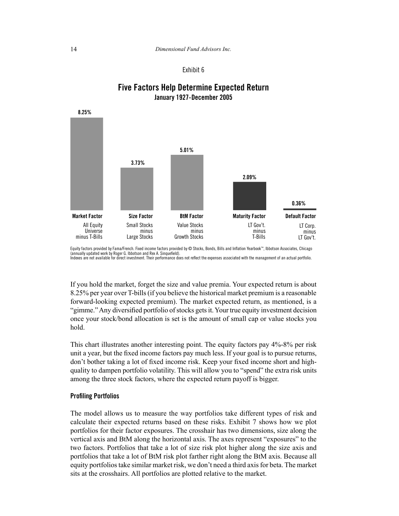# **Five Factors Help Determine Expected Return** January 1927-December 2005



Equity factors provided by Fama/French. Fixed income factors provided by © Stocks, Bonds, Bills and Inflation Yearbook™, Ibbotson Associates, Chicago (annually updated work by Roger G. Ibbotson and Rex A. Sinquefield).<br>Indexes are not available for direct investment. Their performance does not reflect the expenses associated with the management of an actual portfolio.

If you hold the market, forget the size and value premia. Your expected return is about 8.25% per year over T-bills (if you believe the historical market premium is a reasonable forward-looking expected premium). The market expected return, as mentioned, is a "gimme." Any diversified portfolio of stocks gets it. Your true equity investment decision once your stock/bond allocation is set is the amount of small cap or value stocks you hold

This chart illustrates another interesting point. The equity factors pay 4%-8% per risk unit a year, but the fixed income factors pay much less. If your goal is to pursue returns, don't bother taking a lot of fixed income risk. Keep your fixed income short and highquality to dampen portfolio volatility. This will allow you to "spend" the extra risk units among the three stock factors, where the expected return payoff is bigger.

#### **Profiling Portfolios**

The model allows us to measure the way portfolios take different types of risk and calculate their expected returns based on these risks. Exhibit 7 shows how we plot portfolios for their factor exposures. The crosshair has two dimensions, size along the vertical axis and BtM along the horizontal axis. The axes represent "exposures" to the two factors. Portfolios that take a lot of size risk plot higher along the size axis and portfolios that take a lot of BtM risk plot farther right along the BtM axis. Because all equity portfolios take similar market risk, we don't need a third axis for beta. The market sits at the crosshairs. All portfolios are plotted relative to the market.

8.25%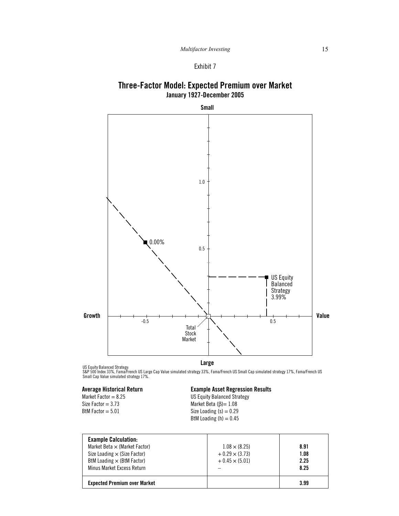## Three-Factor Model: Expected Premium over Market January 1927-December 2005



US Equity Balanced Strategy:<br>S&P 500 Index 33%, Fama/French US Large Cap Value simulated strategy 33%, Fama/French US Small Cap simulated strategy 17%, Fama/French US<br>Small Cap Value simulated strategy 17%.

#### **Average Historical Return** Market Factor =  $8.25$ Size Factor =  $3.73$ BtM Factor  $= 5.01$

#### **Example Asset Regression Results** US Equity Balanced Strategy

Market Beta  $(\beta) = 1.08$ Size Loading  $(s) = 0.29$ BtM Loading  $(h) = 0.45$ 

| <b>Example Calculation:</b><br>Market Beta $\times$ (Market Factor)<br>Size Loading $\times$ (Size Factor)<br>BtM Loading $\times$ (BtM Factor)<br>Minus Market Excess Return | $1.08 \times (8.25)$<br>$+0.29 \times (3.73)$<br>$+0.45 \times (5.01)$ | 8.91<br>1.08<br>2.25<br>8.25 |
|-------------------------------------------------------------------------------------------------------------------------------------------------------------------------------|------------------------------------------------------------------------|------------------------------|
| <b>Expected Premium over Market</b>                                                                                                                                           |                                                                        | 3.99                         |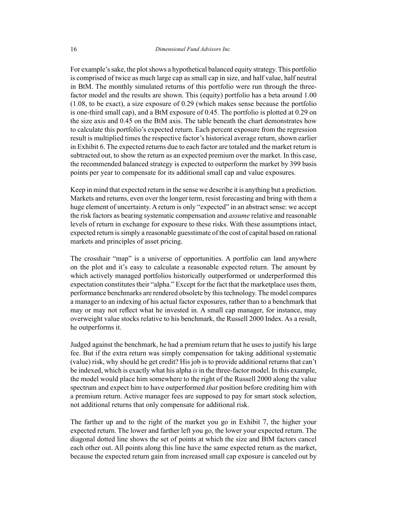For example's sake, the plot shows a hypothetical balanced equity strategy. This portfolio is comprised of twice as much large cap as small cap in size, and half value, half neutral in BtM. The monthly simulated returns of this portfolio were run through the threefactor model and the results are shown. This (equity) portfolio has a beta around 1.00 (1.08, to be exact), a size exposure of 0.29 (which makes sense because the portfolio is one-third small cap), and a BtM exposure of 0.45. The portfolio is plotted at 0.29 on the size axis and 0.45 on the BtM axis. The table beneath the chart demonstrates how to calculate this portfolio's expected return. Each percent exposure from the regression result is multiplied times the respective factor's historical average return, shown earlier in Exhibit 6. The expected returns due to each factor are totaled and the market return is subtracted out, to show the return as an expected premium over the market. In this case, the recommended balanced strategy is expected to outperform the market by 399 basis points per year to compensate for its additional small cap and value exposures.

Keep in mind that expected return in the sense we describe it is anything but a prediction. Markets and returns, even over the longer term, resist forecasting and bring with them a huge element of uncertainty. A return is only "expected" in an abstract sense: we accept the risk factors as bearing systematic compensation and *assume* relative and reasonable levels of return in exchange for exposure to these risks. With these assumptions intact, expected return is simply a reasonable guesstimate of the cost of capital based on rational markets and principles of asset pricing.

The crosshair "map" is a universe of opportunities. A portfolio can land anywhere on the plot and it's easy to calculate a reasonable expected return. The amount by which actively managed portfolios historically outperformed or underperformed this expectation constitutes their "alpha." Except for the fact that the marketplace uses them, performance benchmarks are rendered obsolete by this technology. The model compares a manager to an indexing of his actual factor exposures, rather than to a benchmark that may or may not reflect what he invested in. A small cap manager, for instance, may overweight value stocks relative to his benchmark, the Russell 2000 Index. As a result, he outperforms it.

Judged against the benchmark, he had a premium return that he uses to justify his large fee. But if the extra return was simply compensation for taking additional systematic (value) risk, why should he get credit? His job is to provide additional returns that can't be indexed, which is exactly what his alpha *is* in the three-factor model. In this example, the model would place him somewhere to the right of the Russell 2000 along the value spectrum and expect him to have outperformed *that* position before crediting him with a premium return. Active manager fees are supposed to pay for smart stock selection, not additional returns that only compensate for additional risk.

The farther up and to the right of the market you go in Exhibit 7, the higher your expected return. The lower and farther left you go, the lower your expected return. The diagonal dotted line shows the set of points at which the size and BtM factors cancel each other out. All points along this line have the same expected return as the market, because the expected return gain from increased small cap exposure is canceled out by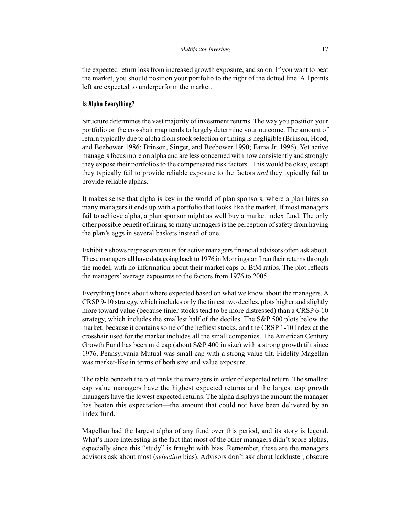the expected return loss from increased growth exposure, and so on. If you want to beat the market, you should position your portfolio to the right of the dotted line. All points left are expected to underperform the market.

#### **Is Alpha Everything?**

Structure determines the vast majority of investment returns. The way you position your portfolio on the crosshair map tends to largely determine your outcome. The amount of return typically due to alpha from stock selection or timing is negligible (Brinson, Hood, and Beebower 1986; Brinson, Singer, and Beebower 1990; Fama Jr. 1996). Yet active managers focus more on alpha and are less concerned with how consistently and strongly they expose their portfolios to the compensated risk factors. This would be okay, except they typically fail to provide reliable exposure to the factors *and* they typically fail to provide reliable alphas.

It makes sense that alpha is key in the world of plan sponsors, where a plan hires so many managers it ends up with a portfolio that looks like the market. If most managers fail to achieve alpha, a plan sponsor might as well buy a market index fund. The only other possible benefit of hiring so many managers is the perception of safety from having the plan's eggs in several baskets instead of one.

Exhibit 8 shows regression results for active managers financial advisors often ask about. These managers all have data going back to 1976 in Morningstar. I ran their returns through the model, with no information about their market caps or BtM ratios. The plot reflects the managers' average exposures to the factors from 1976 to 2005.

Everything lands about where expected based on what we know about the managers. A CRSP 9-10 strategy, which includes only the tiniest two deciles, plots higher and slightly more toward value (because tinier stocks tend to be more distressed) than a CRSP 6-10 strategy, which includes the smallest half of the deciles. The S&P 500 plots below the market, because it contains some of the heftiest stocks, and the CRSP 1-10 Index at the crosshair used for the market includes all the small companies. The American Century Growth Fund has been mid cap (about S&P 400 in size) with a strong growth tilt since 1976. Pennsylvania Mutual was small cap with a strong value tilt. Fidelity Magellan was market-like in terms of both size and value exposure.

The table beneath the plot ranks the managers in order of expected return. The smallest cap value managers have the highest expected returns and the largest cap growth managers have the lowest expected returns. The alpha displays the amount the manager has beaten this expectation—the amount that could not have been delivered by an index fund.

Magellan had the largest alpha of any fund over this period, and its story is legend. What's more interesting is the fact that most of the other managers didn't score alphas, especially since this "study" is fraught with bias. Remember, these are the managers advisors ask about most (*selection* bias). Advisors don't ask about lackluster, obscure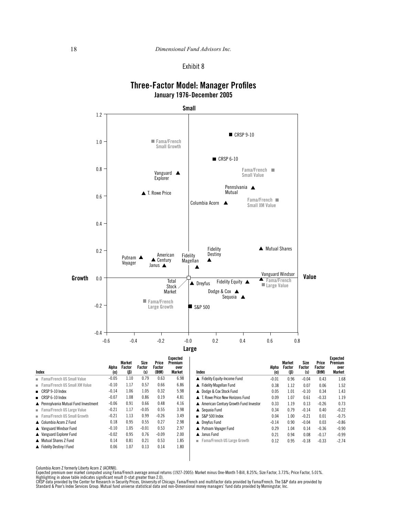## **Three-Factor Model: Manager Profiles** January 1976-December 2005



| Index                                 | Alpha<br>(α) | Market<br>Factor<br>(ß) | Size<br>Factor<br>(s) | Price<br>Factor<br>(BtM) | Expected<br>Premium<br>over<br>Market | Index                                   | Alpha<br>(α) | Market<br>Factor<br>$(\beta)$ | Size<br>Factor<br>(s) | Price<br>Factor<br>(BtM) | Expected<br>Premium<br>over<br>Market |
|---------------------------------------|--------------|-------------------------|-----------------------|--------------------------|---------------------------------------|-----------------------------------------|--------------|-------------------------------|-----------------------|--------------------------|---------------------------------------|
| Fama/French US Small Value            | $-0.05$      | 1.10                    | 0.79                  | 0.63                     | 6.98                                  | Fidelity Equity-Income Fund             | $-0.01$      | 0.96                          | $-0.04$               | 0.43                     | 1.68                                  |
| Fama/French US Small XM Value         | $-0.10$      | 1.17                    | 0.57                  | 0.66                     | 6.86                                  | Fidelity Magellan Fund                  | 0.38         | 1.12                          | 0.07                  | 0.06                     | 1.52                                  |
| $\Box$ CRSP 9-10 Index                | $-0.14$      | 1.06                    | 1.05                  | 0.32                     | 5.98                                  | ▲ Dodge & Cox Stock Fund                | 0.05         | 1.01                          | $-0.10$               | 0.34                     | 1.43                                  |
| $\blacksquare$ CRSP 6-10 Index        | $-0.07$      | 1.08                    | 0.86                  | 0.19                     | 4.81                                  | ▲ T. Rowe Price New Horizons Fund       | 0.09         | 1.07                          | 0.61                  | $-0.33$                  | 1.19                                  |
| ▲ Pennsylvania Mutual Fund Investment | $-0.06$      | 0.91                    | 0.66                  | 0.48                     | 4.16                                  | ▲ American Century Growth Fund Investor | 0.33         | 1.19                          | 0.13                  | $-0.26$                  | 0.73                                  |
| Fama/French US Large Value            | $-0.21$      | 1.17                    | $-0.05$               | 0.55                     | 3.98                                  | ▲ Sequoia Fund                          | 0.34         | 0.79                          | $-0.14$               | 0.40                     | $-0.22$                               |
| Fama/French US Small Growth           | $-0.21$      | 1.13                    | 0.99                  | $-0.26$                  | 3.49                                  | $S\&P 500$ Index                        | 0.04         | 1.00                          | $-0.21$               | 0.01                     | $-0.75$                               |
| ▲ Columbia Acorn Z Fund               | 0.18         | 0.95                    | 0.55                  | 0.27                     | 2.98                                  | ▲ Drevfus Fund                          | $-0.14$      | 0.90                          | $-0.04$               | 0.03                     | $-0.86$                               |
| ▲ Vanguard Windsor Fund               | $-0.10$      | 1.05                    | $-0.01$               | 0.53                     | 2.97                                  | ▲ Putnam Voyager Fund                   | 0.29         | 1.04                          | 0.14                  | $-0.36$                  | $-0.90$                               |
| ▲ Vanguard Explorer Fund              | $-0.02$      | 0.95                    | 0.76                  | $-0.09$                  | 2.00                                  | A Janus Fund                            | 0.21         | 0.94                          | 0.08                  | $-0.17$                  | $-0.99$                               |
| Mutual Shares Z Fund                  | 0.14         | 0.81                    | 0.21                  | 0.53                     | 1.85                                  | Fama/French US Large Growth             | 0.12         | 0.95                          | $-0.18$               | $-0.33$                  | $-2.74$                               |
| Fidelity Destiny I Fund               | 0.06         | 1.07                    | 0.13                  | 0.14                     | 1.80                                  |                                         |              |                               |                       |                          |                                       |

Columbia Acorn Z formerly Liberty Acorn Z (ACRNX).

Expected premium over market computed using Fama/French average annual returns (1927-2005): Market minus One-Month T-Bill, 8.25%; Size Factor, 3.73%; Price Factor, 5.01%.<br>Highlighting in above table indicates significant r

Standard & Poor's Index Services Group. Mutual fund universe statistical data and non-Dimensional money managers' fund data provided by Morningstar, Inc.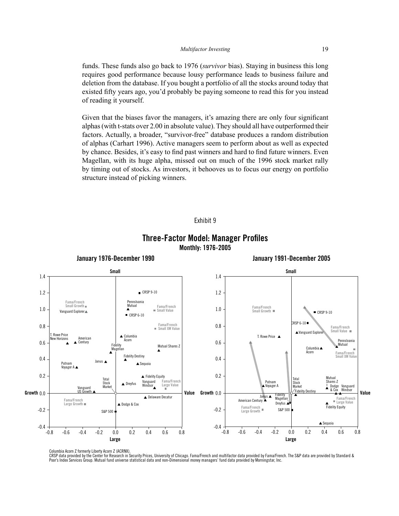funds. These funds also go back to 1976 (*survivor* bias). Staying in business this long requires good performance because lousy performance leads to business failure and deletion from the database. If you bought a portfolio of all the stocks around today that existed fifty years ago, you'd probably be paying someone to read this for you instead of reading it yourself.

Given that the biases favor the managers, it's amazing there are only four significant alphas (with t-stats over 2.00 in absolute value). They should all have outperformed their factors. Actually, a broader, "survivor-free" database produces a random distribution of alphas (Carhart 1996). Active managers seem to perform about as well as expected by chance. Besides, it's easy to find past winners and hard to find future winners. Even Magellan, with its huge alpha, missed out on much of the 1996 stock market rally by timing out of stocks. As investors, it behooves us to focus our energy on portfolio structure instead of picking winners.





## **Three-Factor Model: Manager Profiles** Monthly: 1976-2005

Columbia Acorn Z formerly Liberty Acorn Z (ACRNX).

CRSP data provided by the Center for Research in Security Prices, University of Chicago. Fama/French and multifactor data provided by Fama/French. The S&P data are provided by Standard & Poor's Index Services Group. Mutual fund universe statistical data and non-Dimensional money managers' fund data provided by Morningstar, Inc.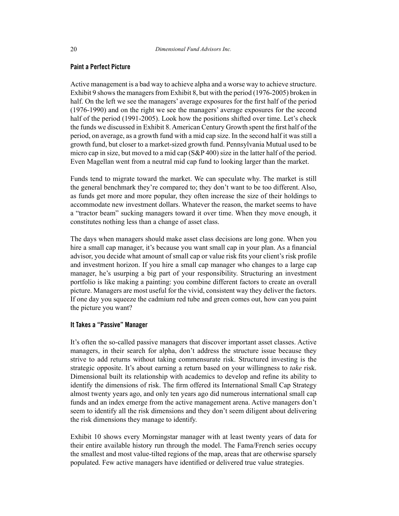#### **Paint a Perfect Picture**

Active management is a bad way to achieve alpha and a worse way to achieve structure. Exhibit 9 shows the managers from Exhibit 8, but with the period (1976-2005) broken in half. On the left we see the managers' average exposures for the first half of the period (1976-1990) and on the right we see the managers' average exposures for the second half of the period (1991-2005). Look how the positions shifted over time. Let's check the funds we discussed in Exhibit 8. American Century Growth spent the first half of the period, on average, as a growth fund with a mid cap size. In the second half it was still a growth fund, but closer to a market-sized growth fund. Pennsylvania Mutual used to be micro cap in size, but moved to a mid cap (S&P 400) size in the latter half of the period. Even Magellan went from a neutral mid cap fund to looking larger than the market.

Funds tend to migrate toward the market. We can speculate why. The market is still the general benchmark they're compared to; they don't want to be too different. Also, as funds get more and more popular, they often increase the size of their holdings to accommodate new investment dollars. Whatever the reason, the market seems to have a "tractor beam" sucking managers toward it over time. When they move enough, it constitutes nothing less than a change of asset class.

The days when managers should make asset class decisions are long gone. When you hire a small cap manager, it's because you want small cap in your plan. As a financial advisor, you decide what amount of small cap or value risk fits your client's risk profile and investment horizon. If you hire a small cap manager who changes to a large cap manager, he's usurping a big part of your responsibility. Structuring an investment portfolio is like making a painting: you combine different factors to create an overall picture. Managers are most useful for the vivid, consistent way they deliver the factors. If one day you squeeze the cadmium red tube and green comes out, how can you paint the picture you want?

#### **It Takes a "Passive" Manager**

It's often the so-called passive managers that discover important asset classes. Active managers, in their search for alpha, don't address the structure issue because they strive to add returns without taking commensurate risk. Structured investing is the strategic opposite. It's about earning a return based on your willingness to *take* risk. Dimensional built its relationship with academics to develop and refine its ability to identify the dimensions of risk. The firm offered its International Small Cap Strategy almost twenty years ago, and only ten years ago did numerous international small cap funds and an index emerge from the active management arena. Active managers don't seem to identify all the risk dimensions and they don't seem diligent about delivering the risk dimensions they manage to identify.

Exhibit 10 shows every Morningstar manager with at least twenty years of data for their entire available history run through the model. The Fama/French series occupy the smallest and most value-tilted regions of the map, areas that are otherwise sparsely populated. Few active managers have identified or delivered true value strategies.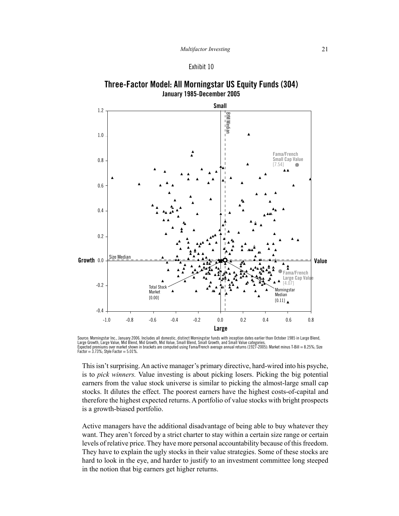



Source: Morningstar Inc., January 2006. Includes all domestic, distinct Morningstar funds with inception dates earlier than October 1985 in Large Blend,<br>Large Growth, Large Value, Mid Blend, Mid Growth, Mid Value, Small Bl ms over market shown in brackets are computed using Fama/French average annual returns (1927-2005). Market minus T-Bill = 8.25%; Size Expected pren  $Factor = 3.73\%;$  Style Factor = 5.01%

This isn't surprising. An active manager's primary directive, hard-wired into his psyche, is to pick winners. Value investing is about picking losers. Picking the big potential earners from the value stock universe is similar to picking the almost-large small cap stocks. It dilutes the effect. The poorest earners have the highest costs-of-capital and therefore the highest expected returns. A portfolio of value stocks with bright prospects is a growth-biased portfolio.

Active managers have the additional disadvantage of being able to buy whatever they want. They aren't forced by a strict charter to stay within a certain size range or certain levels of relative price. They have more personal accountability because of this freedom. They have to explain the ugly stocks in their value strategies. Some of these stocks are hard to look in the eye, and harder to justify to an investment committee long steeped in the notion that big earners get higher returns.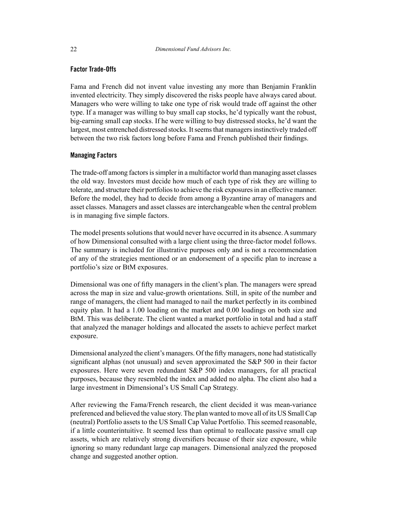#### **Factor Trade-Offs**

Fama and French did not invent value investing any more than Benjamin Franklin invented electricity. They simply discovered the risks people have always cared about. Managers who were willing to take one type of risk would trade off against the other type. If a manager was willing to buy small cap stocks, he'd typically want the robust, big-earning small cap stocks. If he were willing to buy distressed stocks, he'd want the largest, most entrenched distressed stocks. It seems that managers instinctively traded off between the two risk factors long before Fama and French published their findings.

#### **Managing Factors**

The trade-off among factors is simpler in a multifactor world than managing asset classes the old way. Investors must decide how much of each type of risk they are willing to tolerate, and structure their portfolios to achieve the risk exposures in an effective manner. Before the model, they had to decide from among a Byzantine array of managers and asset classes. Managers and asset classes are interchangeable when the central problem is in managing five simple factors.

The model presents solutions that would never have occurred in its absence. A summary of how Dimensional consulted with a large client using the three-factor model follows. The summary is included for illustrative purposes only and is not a recommendation of any of the strategies mentioned or an endorsement of a specific plan to increase a portfolio's size or BtM exposures.

Dimensional was one of fifty managers in the client's plan. The managers were spread across the map in size and value-growth orientations. Still, in spite of the number and range of managers, the client had managed to nail the market perfectly in its combined equity plan. It had a 1.00 loading on the market and 0.00 loadings on both size and BtM. This was deliberate. The client wanted a market portfolio in total and had a staff that analyzed the manager holdings and allocated the assets to achieve perfect market exposure.

Dimensional analyzed the client's managers. Of the fifty managers, none had statistically significant alphas (not unusual) and seven approximated the S&P 500 in their factor exposures. Here were seven redundant S&P 500 index managers, for all practical purposes, because they resembled the index and added no alpha. The client also had a large investment in Dimensional's US Small Cap Strategy.

After reviewing the Fama/French research, the client decided it was mean-variance preferenced and believed the value story. The plan wanted to move all of its US Small Cap (neutral) Portfolio assets to the US Small Cap Value Portfolio. This seemed reasonable, if a little counterintuitive. It seemed less than optimal to reallocate passive small cap assets, which are relatively strong diversifiers because of their size exposure, while ignoring so many redundant large cap managers. Dimensional analyzed the proposed change and suggested another option.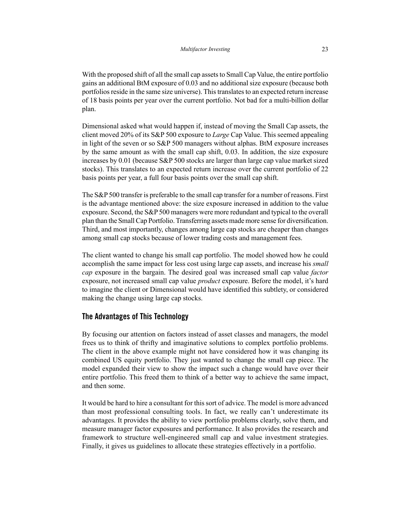With the proposed shift of all the small cap assets to Small Cap Value, the entire portfolio gains an additional BtM exposure of 0.03 and no additional size exposure (because both portfolios reside in the same size universe). This translates to an expected return increase of 18 basis points per year over the current portfolio. Not bad for a multi-billion dollar plan.

Dimensional asked what would happen if, instead of moving the Small Cap assets, the client moved 20% of its S&P 500 exposure to *Large* Cap Value. This seemed appealing in light of the seven or so S&P 500 managers without alphas. BtM exposure increases by the same amount as with the small cap shift, 0.03. In addition, the size exposure increases by 0.01 (because S&P 500 stocks are larger than large cap value market sized stocks). This translates to an expected return increase over the current portfolio of 22 basis points per year, a full four basis points over the small cap shift.

The S&P 500 transfer is preferable to the small cap transfer for a number of reasons. First is the advantage mentioned above: the size exposure increased in addition to the value exposure. Second, the S&P 500 managers were more redundant and typical to the overall plan than the Small Cap Portfolio. Transferring assets made more sense for diversification. Third, and most importantly, changes among large cap stocks are cheaper than changes among small cap stocks because of lower trading costs and management fees.

The client wanted to change his small cap portfolio. The model showed how he could accomplish the same impact for less cost using large cap assets, and increase his *small cap* exposure in the bargain. The desired goal was increased small cap value *factor* exposure, not increased small cap value *product* exposure. Before the model, it's hard to imagine the client or Dimensional would have identified this subtlety, or considered making the change using large cap stocks.

#### **The Advantages of This Technology**

By focusing our attention on factors instead of asset classes and managers, the model frees us to think of thrifty and imaginative solutions to complex portfolio problems. The client in the above example might not have considered how it was changing its combined US equity portfolio. They just wanted to change the small cap piece. The model expanded their view to show the impact such a change would have over their entire portfolio. This freed them to think of a better way to achieve the same impact, and then some.

It would be hard to hire a consultant for this sort of advice. The model is more advanced than most professional consulting tools. In fact, we really can't underestimate its advantages. It provides the ability to view portfolio problems clearly, solve them, and measure manager factor exposures and performance. It also provides the research and framework to structure well-engineered small cap and value investment strategies. Finally, it gives us guidelines to allocate these strategies effectively in a portfolio.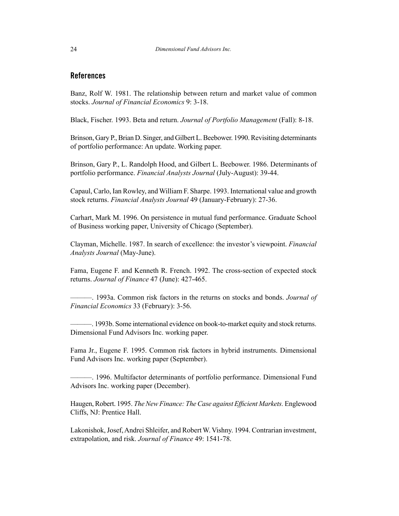### **References**

Banz, Rolf W. 1981. The relationship between return and market value of common stocks. *Journal of Financial Economics* 9: 3-18.

Black, Fischer. 1993. Beta and return. *Journal of Portfolio Management* (Fall): 8-18.

Brinson, Gary P., Brian D. Singer, and Gilbert L. Beebower. 1990. Revisiting determinants of portfolio performance: An update. Working paper.

Brinson, Gary P., L. Randolph Hood, and Gilbert L. Beebower. 1986. Determinants of portfolio performance. *Financial Analysts Journal* (July-August): 39-44.

Capaul, Carlo, Ian Rowley, and William F. Sharpe. 1993. International value and growth stock returns. *Financial Analysts Journal* 49 (January-February): 27-36.

Carhart, Mark M. 1996. On persistence in mutual fund performance. Graduate School of Business working paper, University of Chicago ( September).

Clayman, Michelle. 1987. In search of excellence: the investor's viewpoint. *Financial Analysts Journal* (May-June).

Fama, Eugene F. and Kenneth R. French. 1992. The cross-section of expected stock returns. *Journal of Finance* 47 (June): 427-465.

———. 1993a. Common risk factors in the returns on stocks and bonds. *Journal of Financial Economics* 33 (February): 3-56.

———. 1993b. Some international evidence on book-to-market equity and stock returns. Dimensional Fund Advisors Inc. working paper.

Fama Jr., Eugene F. 1995. Common risk factors in hybrid instruments. Dimensional Fund Advisors Inc. working paper (September).

———. 1996. Multifactor determinants of portfolio performance. Dimensional Fund Advisors Inc. working paper (December).

Haugen, Robert. 1995. *The New Finance: The Case against Efficient Markets.* Englewood Cliffs, NJ: Prentice Hall.

Lakonishok, Josef, Andrei Shleifer, and Robert W. Vishny. 1994. Contrarian investment, extrapolation, and risk. *Journal of Finance* 49: 1541-78.